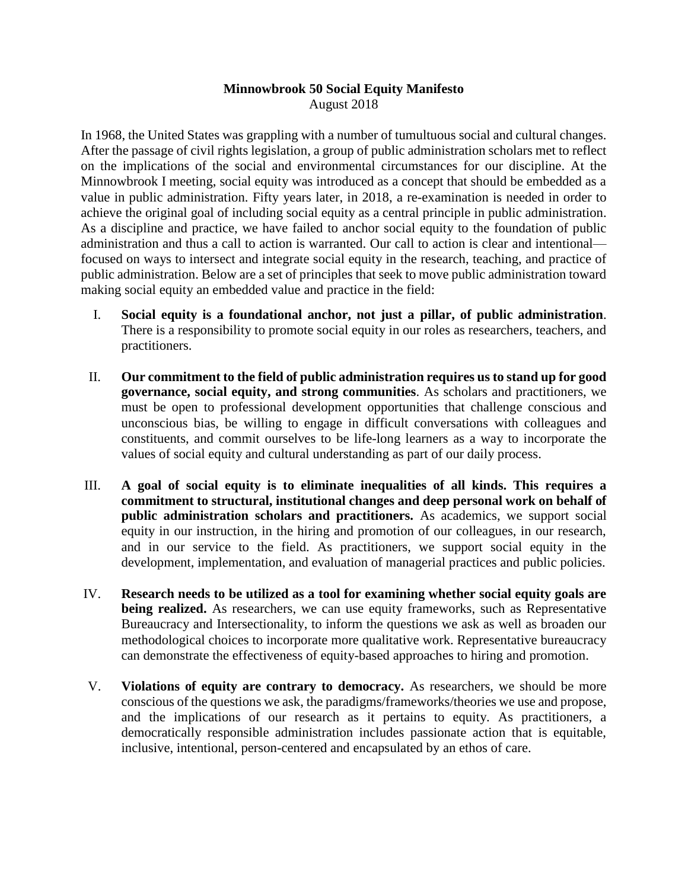## **Minnowbrook 50 Social Equity Manifesto** August 2018

In 1968, the United States was grappling with a number of tumultuous social and cultural changes. After the passage of civil rights legislation, a group of public administration scholars met to reflect on the implications of the social and environmental circumstances for our discipline. At the Minnowbrook I meeting, social equity was introduced as a concept that should be embedded as a value in public administration. Fifty years later, in 2018, a re-examination is needed in order to achieve the original goal of including social equity as a central principle in public administration. As a discipline and practice, we have failed to anchor social equity to the foundation of public administration and thus a call to action is warranted. Our call to action is clear and intentional focused on ways to intersect and integrate social equity in the research, teaching, and practice of public administration. Below are a set of principles that seek to move public administration toward making social equity an embedded value and practice in the field:

- I. **Social equity is a foundational anchor, not just a pillar, of public administration**. There is a responsibility to promote social equity in our roles as researchers, teachers, and practitioners.
- II. **Our commitment to the field of public administration requires us to stand up for good governance, social equity, and strong communities**. As scholars and practitioners, we must be open to professional development opportunities that challenge conscious and unconscious bias, be willing to engage in difficult conversations with colleagues and constituents, and commit ourselves to be life-long learners as a way to incorporate the values of social equity and cultural understanding as part of our daily process.
- III. **A goal of social equity is to eliminate inequalities of all kinds. This requires a commitment to structural, institutional changes and deep personal work on behalf of public administration scholars and practitioners.** As academics, we support social equity in our instruction, in the hiring and promotion of our colleagues, in our research, and in our service to the field. As practitioners, we support social equity in the development, implementation, and evaluation of managerial practices and public policies.
- IV. **Research needs to be utilized as a tool for examining whether social equity goals are**  being realized. As researchers, we can use equity frameworks, such as Representative Bureaucracy and Intersectionality, to inform the questions we ask as well as broaden our methodological choices to incorporate more qualitative work. Representative bureaucracy can demonstrate the effectiveness of equity-based approaches to hiring and promotion.
- V. **Violations of equity are contrary to democracy.** As researchers, we should be more conscious of the questions we ask, the paradigms/frameworks/theories we use and propose, and the implications of our research as it pertains to equity. As practitioners, a democratically responsible administration includes passionate action that is equitable, inclusive, intentional, person-centered and encapsulated by an ethos of care.